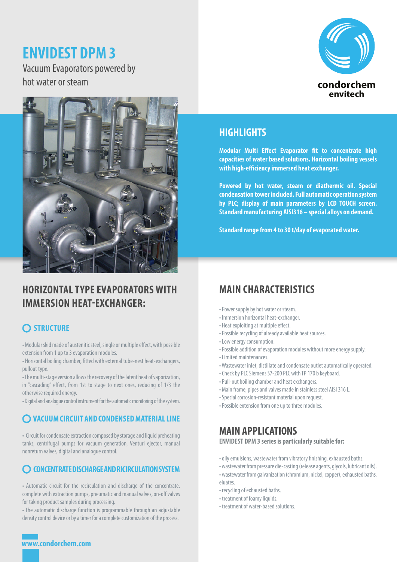# **ENVIDEST DPM 3**

Vacuum Evaporators powered by hot water or steam





# **HORIZONTAL TYPE EVAPORATORS WITH IMMERSION HEAT-EXCHANGER:**

## **STRUCTURE**

• Modular skid made of austenitic steel, single or multiple effect, with possible extension from 1 up to 3 evaporation modules.

• Horizontal boiling chamber, fitted with external tube-nest heat-exchangers, pullout type.

• The multi-stage version allows the recovery of the latent heat of vaporization, in "cascading" effect, from 1st to stage to next ones, reducing of 1/3 the otherwise required energy.

• Digital and analogue control instrument for the automatic monitoring of the system.

## **VACUUM CIRCUIT AND CONDENSED MATERIAL LINE**

• Circuit for condensate extraction composed by storage and liquid preheating tanks, centrifugal pumps for vacuum generation, Venturi ejector, manual nonreturn valves, digital and analogue control.

#### **CONCENTRATE DISCHARGE AND RICIRCULATION SYSTEM**

• Automatic circuit for the recirculation and discharge of the concentrate, complete with extraction pumps, pneumatic and manual valves, on-off valves for taking product samples during processing.

• The automatic discharge function is programmable through an adjustable density control device or by a timer for a complete customization of the process.

## **HIGHLIGHTS**

**Modular Multi Effect Evaporator fit to concentrate high capacities of water based solutions. Horizontal boiling vessels with high-efficiency immersed heat exchanger.**

**Powered by hot water, steam or diathermic oil. Special condensation tower included. Full automatic operation system by PLC; display of main parameters by LCD TOUCH screen. Standard manufacturing AISI316 – special alloys on demand.**

**Standard range from 4 to 30 t/day of evaporated water.**

# **MAIN CHARACTERISTICS**

- Power supply by hot water or steam.
- Immersion horizontal heat-exchanger.
- Heat exploiting at multiple effect.
- Possible recycling of already available heat sources.
- Low energy consumption.
- Possible addition of evaporation modules without more energy supply.
- Limited maintenances.
- Wastewater inlet, distillate and condensate outlet automatically operated.
- Check by PLC Siemens S7-200 PLC with TP 170 b keyboard.
- Pull-out boiling chamber and heat exchangers.
- Main frame, pipes and valves made in stainless steel AISI 316 L.
- Special corrosion-resistant material upon request.
- Possible extension from one up to three modules.

## **MAIN APPLICATIONS**

**ENVIDEST DPM 3 series is particularly suitable for:**

- oily emulsions, wastewater from vibratory finishing, exhausted baths.
- wastewater from pressure die-casting (release agents, glycols, lubricant oils).
- wastewater from galvanization (chromium, nickel, copper), exhausted baths, eluates.
- recycling of exhausted baths.
- treatment of foamy liquids.
- treatment of water-based solutions.